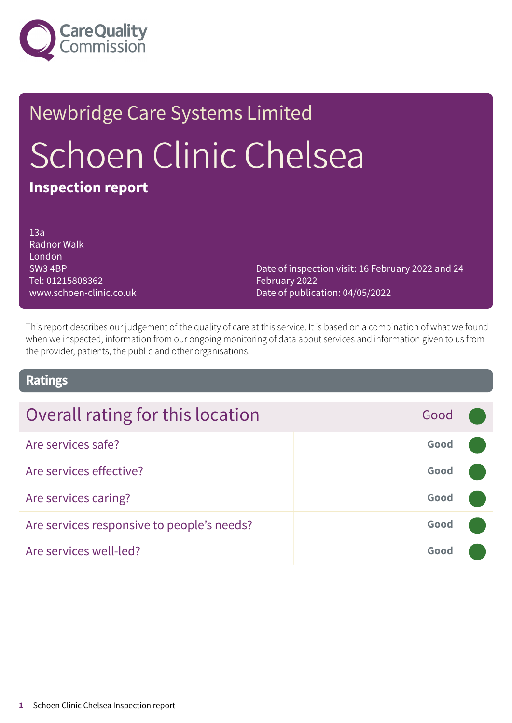

# Newbridge Care Systems Limited Schoen Clinic Chelsea **Inspection report**

13a Radnor Walk London SW3 4BP Tel: 01215808362 www.schoen-clinic.co.uk

Date of inspection visit: 16 February 2022 and 24 February 2022 Date of publication: 04/05/2022

This report describes our judgement of the quality of care at this service. It is based on a combination of what we found when we inspected, information from our ongoing monitoring of data about services and information given to us from the provider, patients, the public and other organisations.

### **Ratings**

| Overall rating for this location           | Good |  |
|--------------------------------------------|------|--|
| Are services safe?                         | Good |  |
| Are services effective?                    | Good |  |
| Are services caring?                       | Good |  |
| Are services responsive to people's needs? | Good |  |
| Are services well-led?                     | Good |  |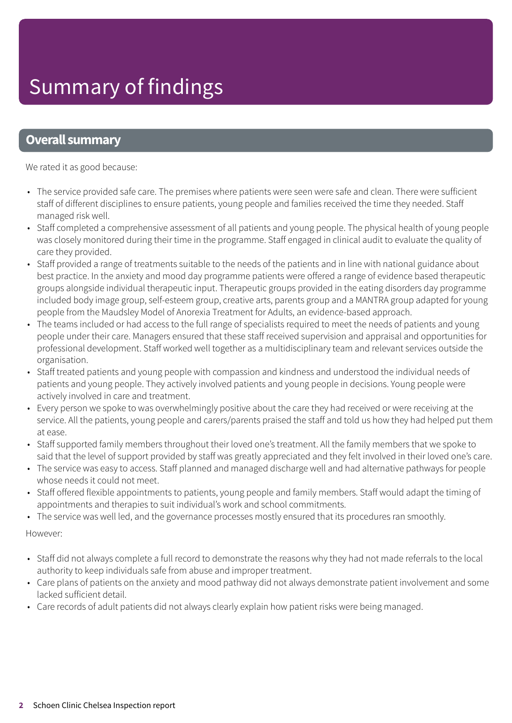# Summary of findings

### **Overall summary**

We rated it as good because:

- The service provided safe care. The premises where patients were seen were safe and clean. There were sufficient staff of different disciplines to ensure patients, young people and families received the time they needed. Staff managed risk well.
- Staff completed a comprehensive assessment of all patients and young people. The physical health of young people was closely monitored during their time in the programme. Staff engaged in clinical audit to evaluate the quality of care they provided.
- Staff provided a range of treatments suitable to the needs of the patients and in line with national guidance about best practice. In the anxiety and mood day programme patients were offered a range of evidence based therapeutic groups alongside individual therapeutic input. Therapeutic groups provided in the eating disorders day programme included body image group, self-esteem group, creative arts, parents group and a MANTRA group adapted for young people from the Maudsley Model of Anorexia Treatment for Adults, an evidence-based approach.
- The teams included or had access to the full range of specialists required to meet the needs of patients and young people under their care. Managers ensured that these staff received supervision and appraisal and opportunities for professional development. Staff worked well together as a multidisciplinary team and relevant services outside the organisation.
- Staff treated patients and young people with compassion and kindness and understood the individual needs of patients and young people. They actively involved patients and young people in decisions. Young people were actively involved in care and treatment.
- Every person we spoke to was overwhelmingly positive about the care they had received or were receiving at the service. All the patients, young people and carers/parents praised the staff and told us how they had helped put them at ease.
- Staff supported family members throughout their loved one's treatment. All the family members that we spoke to said that the level of support provided by staff was greatly appreciated and they felt involved in their loved one's care.
- The service was easy to access. Staff planned and managed discharge well and had alternative pathways for people whose needs it could not meet.
- Staff offered flexible appointments to patients, young people and family members. Staff would adapt the timing of appointments and therapies to suit individual's work and school commitments.
- The service was well led, and the governance processes mostly ensured that its procedures ran smoothly.

However:

- Staff did not always complete a full record to demonstrate the reasons why they had not made referrals to the local authority to keep individuals safe from abuse and improper treatment.
- Care plans of patients on the anxiety and mood pathway did not always demonstrate patient involvement and some lacked sufficient detail.
- Care records of adult patients did not always clearly explain how patient risks were being managed.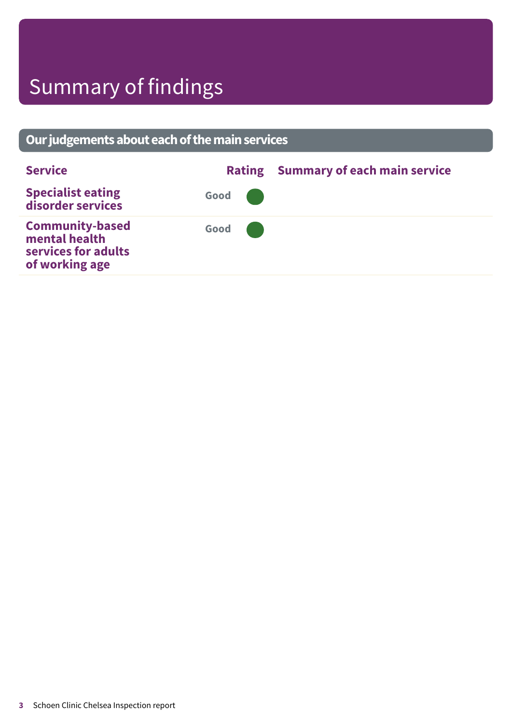# Summary of findings

### **Ourjudgementsabouteachofthemainservices Service Rating Summary of each main service Specialist eating disorder services Good ––– Community-based mental health services for adults of working age Good –––**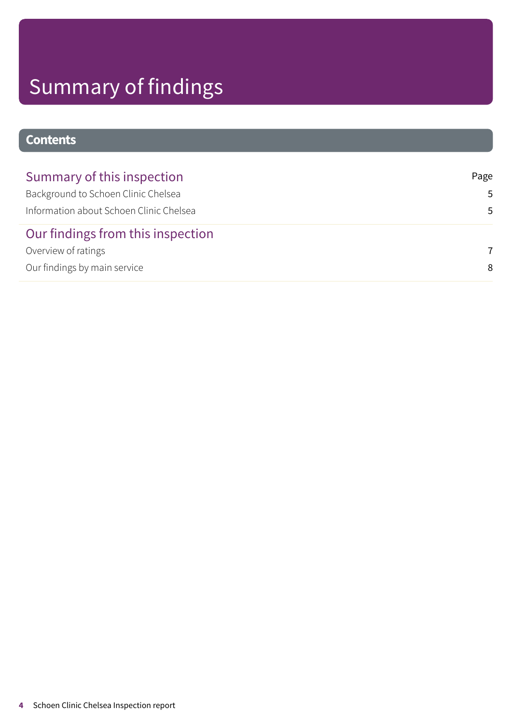# Summary of findings

### **Contents**

| Summary of this inspection              | Page |
|-----------------------------------------|------|
| Background to Schoen Clinic Chelsea     | .5.  |
| Information about Schoen Clinic Chelsea | .5   |
| Our findings from this inspection       |      |
| Overview of ratings                     | 7    |
| Our findings by main service            | 8    |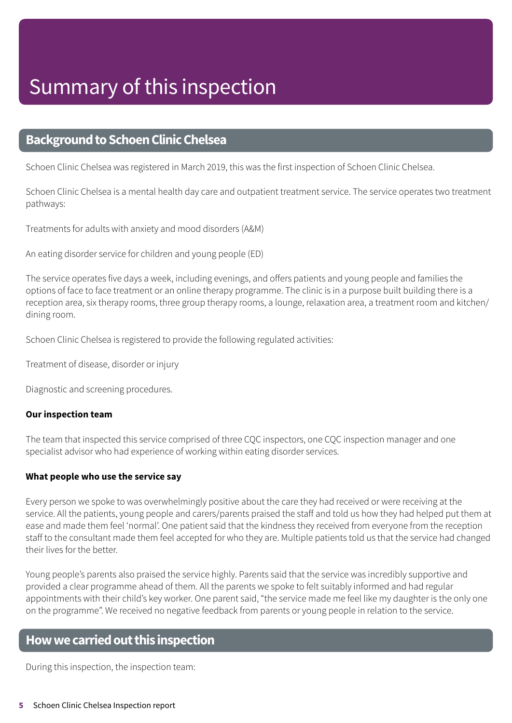### <span id="page-4-0"></span>**Background to Schoen Clinic Chelsea**

Schoen Clinic Chelsea was registered in March 2019, this was the first inspection of Schoen Clinic Chelsea.

Schoen Clinic Chelsea is a mental health day care and outpatient treatment service. The service operates two treatment pathways:

Treatments for adults with anxiety and mood disorders (A&M)

An eating disorder service for children and young people (ED)

The service operates five days a week, including evenings, and offers patients and young people and families the options of face to face treatment or an online therapy programme. The clinic is in a purpose built building there is a reception area, six therapy rooms, three group therapy rooms, a lounge, relaxation area, a treatment room and kitchen/ dining room.

Schoen Clinic Chelsea is registered to provide the following regulated activities:

Treatment of disease, disorder or injury

Diagnostic and screening procedures.

#### **Our inspection team**

The team that inspected this service comprised of three CQC inspectors, one CQC inspection manager and one specialist advisor who had experience of working within eating disorder services.

#### **What people who use the service say**

Every person we spoke to was overwhelmingly positive about the care they had received or were receiving at the service. All the patients, young people and carers/parents praised the staff and told us how they had helped put them at ease and made them feel 'normal'. One patient said that the kindness they received from everyone from the reception staff to the consultant made them feel accepted for who they are. Multiple patients told us that the service had changed their lives for the better.

Young people's parents also praised the service highly. Parents said that the service was incredibly supportive and provided a clear programme ahead of them. All the parents we spoke to felt suitably informed and had regular appointments with their child's key worker. One parent said, "the service made me feel like my daughter is the only one on the programme". We received no negative feedback from parents or young people in relation to the service.

### <span id="page-4-1"></span>**Howwecarriedoutthis inspection**

During this inspection, the inspection team: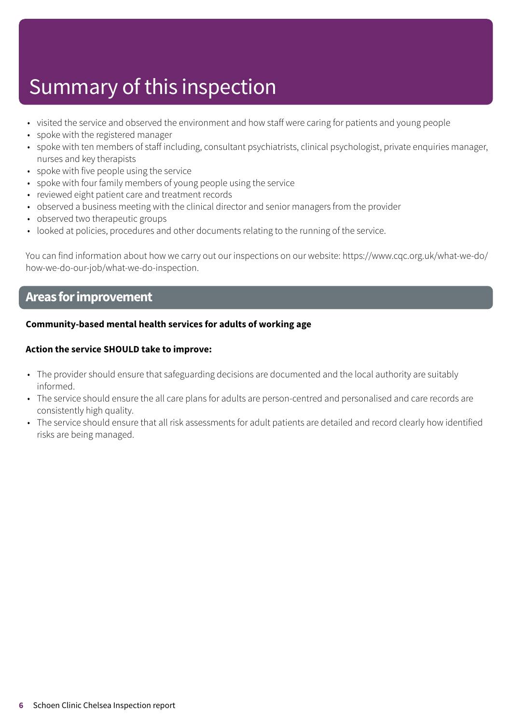# Summary of this inspection

- visited the service and observed the environment and how staff were caring for patients and young people
- spoke with the registered manager
- spoke with ten members of staff including, consultant psychiatrists, clinical psychologist, private enquiries manager, nurses and key therapists
- spoke with five people using the service
- spoke with four family members of young people using the service
- reviewed eight patient care and treatment records
- observed a business meeting with the clinical director and senior managers from the provider
- observed two therapeutic groups
- looked at policies, procedures and other documents relating to the running of the service.

You can find information about how we carry out our inspections on our website: https://www.cqc.org.uk/what-we-do/ how-we-do-our-job/what-we-do-inspection.

### **Areas forimprovement**

#### **Community-based mental health services for adults of working age**

#### **Action the service SHOULD take to improve:**

- The provider should ensure that safeguarding decisions are documented and the local authority are suitably informed.
- The service should ensure the all care plans for adults are person-centred and personalised and care records are consistently high quality.
- The service should ensure that all risk assessments for adult patients are detailed and record clearly how identified risks are being managed.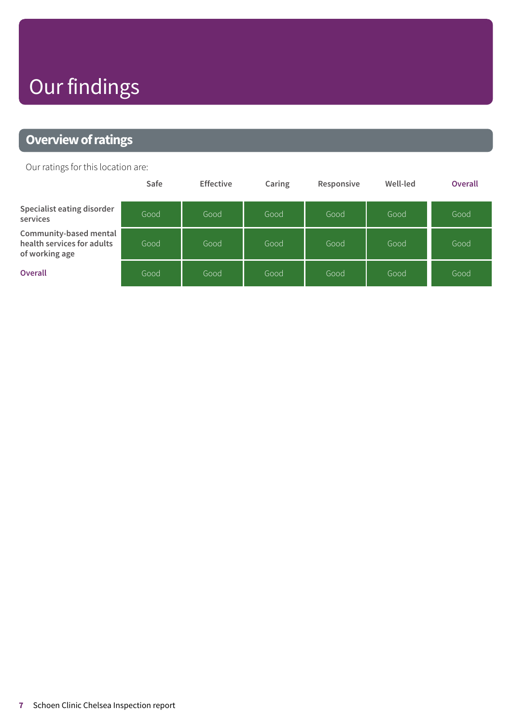# Our findings

### <span id="page-6-0"></span>**Overview of ratings**

Our ratings for this location are:

|                                                                        | Safe | <b>Effective</b> | Caring | Responsive | Well-led | <b>Overall</b> |
|------------------------------------------------------------------------|------|------------------|--------|------------|----------|----------------|
| Specialist eating disorder<br>services                                 | Good | Good             | Good   | Good       | Good     | Good           |
| Community-based mental<br>health services for adults<br>of working age | Good | Good             | Good   | Good       | Good     | Good           |
| <b>Overall</b>                                                         | Good | Good             | Good   | Good       | Good     | Good           |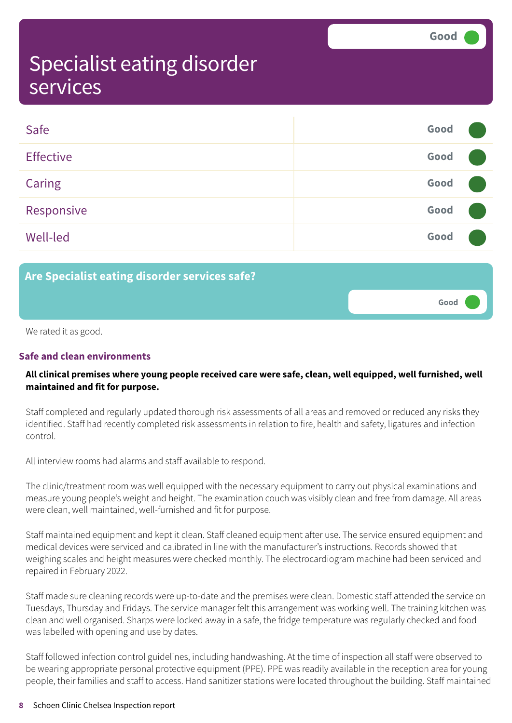**Good –––**

### <span id="page-7-0"></span>Specialist eating disorder services

| Safe             | Good |  |
|------------------|------|--|
| <b>Effective</b> | Good |  |
| Caring           | Good |  |
| Responsive       | Good |  |
| <b>Well-led</b>  | Good |  |

**Are Specialist eating disorder services safe?**

We rated it as good.

#### **Safe and clean environments**

#### **All clinical premises where young people received care were safe, clean, well equipped, well furnished, well maintained and fit for purpose.**

Staff completed and regularly updated thorough risk assessments of all areas and removed or reduced any risks they identified. Staff had recently completed risk assessments in relation to fire, health and safety, ligatures and infection control.

All interview rooms had alarms and staff available to respond.

The clinic/treatment room was well equipped with the necessary equipment to carry out physical examinations and measure young people's weight and height. The examination couch was visibly clean and free from damage. All areas were clean, well maintained, well-furnished and fit for purpose.

Staff maintained equipment and kept it clean. Staff cleaned equipment after use. The service ensured equipment and medical devices were serviced and calibrated in line with the manufacturer's instructions. Records showed that weighing scales and height measures were checked monthly. The electrocardiogram machine had been serviced and repaired in February 2022.

Staff made sure cleaning records were up-to-date and the premises were clean. Domestic staff attended the service on Tuesdays, Thursday and Fridays. The service manager felt this arrangement was working well. The training kitchen was clean and well organised. Sharps were locked away in a safe, the fridge temperature was regularly checked and food was labelled with opening and use by dates.

Staff followed infection control guidelines, including handwashing. At the time of inspection all staff were observed to be wearing appropriate personal protective equipment (PPE). PPE was readily available in the reception area for young people, their families and staff to access. Hand sanitizer stations were located throughout the building. Staff maintained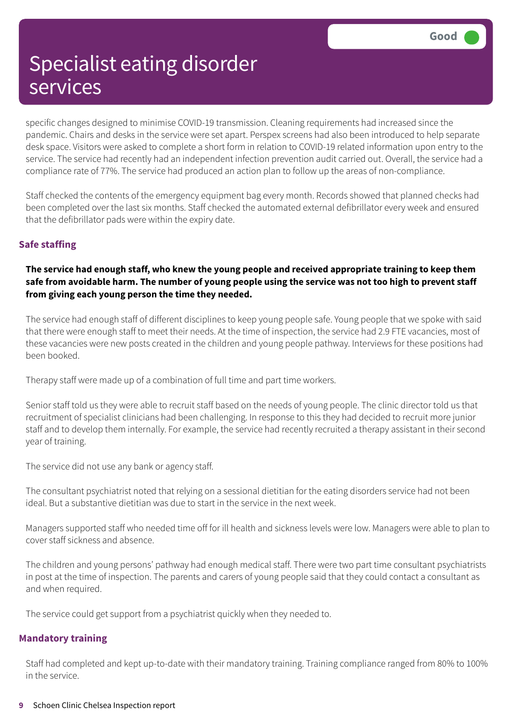specific changes designed to minimise COVID-19 transmission. Cleaning requirements had increased since the pandemic. Chairs and desks in the service were set apart. Perspex screens had also been introduced to help separate desk space. Visitors were asked to complete a short form in relation to COVID-19 related information upon entry to the service. The service had recently had an independent infection prevention audit carried out. Overall, the service had a compliance rate of 77%. The service had produced an action plan to follow up the areas of non-compliance.

Staff checked the contents of the emergency equipment bag every month. Records showed that planned checks had been completed over the last six months. Staff checked the automated external defibrillator every week and ensured that the defibrillator pads were within the expiry date.

#### **Safe staffing**

#### **The service had enough staff, who knew the young people and received appropriate training to keep them** safe from avoidable harm. The number of young people using the service was not too high to prevent staff **from giving each young person the time they needed.**

The service had enough staff of different disciplines to keep young people safe. Young people that we spoke with said that there were enough staff to meet their needs. At the time of inspection, the service had 2.9 FTE vacancies, most of these vacancies were new posts created in the children and young people pathway. Interviews for these positions had been booked.

Therapy staff were made up of a combination of full time and part time workers.

Senior staff told us they were able to recruit staff based on the needs of young people. The clinic director told us that recruitment of specialist clinicians had been challenging. In response to this they had decided to recruit more junior staff and to develop them internally. For example, the service had recently recruited a therapy assistant in their second year of training.

The service did not use any bank or agency staff.

The consultant psychiatrist noted that relying on a sessional dietitian for the eating disorders service had not been ideal. But a substantive dietitian was due to start in the service in the next week.

Managers supported staff who needed time off for ill health and sickness levels were low. Managers were able to plan to cover staff sickness and absence.

The children and young persons' pathway had enough medical staff. There were two part time consultant psychiatrists in post at the time of inspection. The parents and carers of young people said that they could contact a consultant as and when required.

The service could get support from a psychiatrist quickly when they needed to.

#### **Mandatory training**

Staff had completed and kept up-to-date with their mandatory training. Training compliance ranged from 80% to 100% in the service.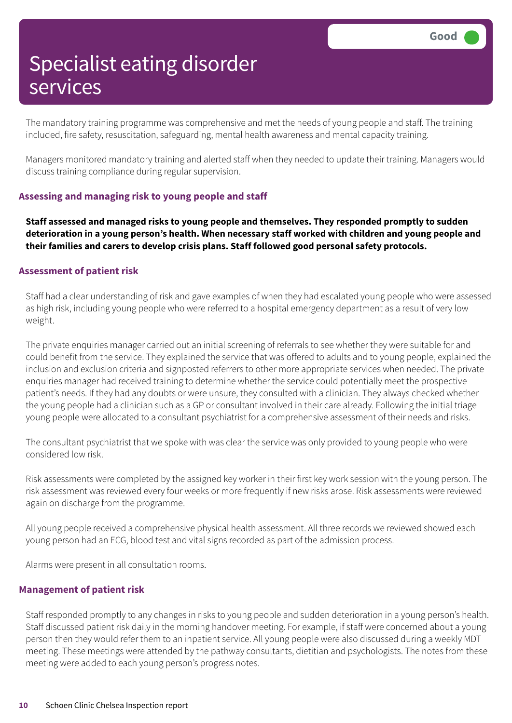The mandatory training programme was comprehensive and met the needs of young people and staff. The training included, fire safety, resuscitation, safeguarding, mental health awareness and mental capacity training.

Managers monitored mandatory training and alerted staff when they needed to update their training. Managers would discuss training compliance during regular supervision.

#### **Assessing and managing risk to young people and staff**

**Staff assessed and managed risks to young people and themselves. They responded promptly to sudden deterioration in a young person's health. When necessary staff worked with children and young people and their families and carers to develop crisis plans. Staff followed good personal safety protocols.**

#### **Assessment of patient risk**

Staff had a clear understanding of risk and gave examples of when they had escalated young people who were assessed as high risk, including young people who were referred to a hospital emergency department as a result of very low weight.

The private enquiries manager carried out an initial screening of referrals to see whether they were suitable for and could benefit from the service. They explained the service that was offered to adults and to young people, explained the inclusion and exclusion criteria and signposted referrers to other more appropriate services when needed. The private enquiries manager had received training to determine whether the service could potentially meet the prospective patient's needs. If they had any doubts or were unsure, they consulted with a clinician. They always checked whether the young people had a clinician such as a GP or consultant involved in their care already. Following the initial triage young people were allocated to a consultant psychiatrist for a comprehensive assessment of their needs and risks.

The consultant psychiatrist that we spoke with was clear the service was only provided to young people who were considered low risk.

Risk assessments were completed by the assigned key worker in their first key work session with the young person. The risk assessment was reviewed every four weeks or more frequently if new risks arose. Risk assessments were reviewed again on discharge from the programme.

All young people received a comprehensive physical health assessment. All three records we reviewed showed each young person had an ECG, blood test and vital signs recorded as part of the admission process.

Alarms were present in all consultation rooms.

#### **Management of patient risk**

Staff responded promptly to any changes in risks to young people and sudden deterioration in a young person's health. Staff discussed patient risk daily in the morning handover meeting. For example, if staff were concerned about a young person then they would refer them to an inpatient service. All young people were also discussed during a weekly MDT meeting. These meetings were attended by the pathway consultants, dietitian and psychologists. The notes from these meeting were added to each young person's progress notes.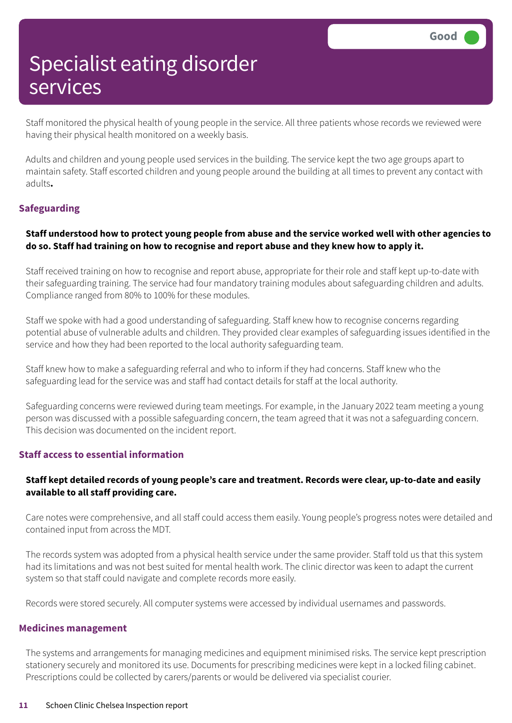Staff monitored the physical health of young people in the service. All three patients whose records we reviewed were having their physical health monitored on a weekly basis.

Adults and children and young people used services in the building. The service kept the two age groups apart to maintain safety. Staff escorted children and young people around the building at all times to prevent any contact with adults**.**

#### **Safeguarding**

#### Staff understood how to protect young people from abuse and the service worked well with other agencies to do so. Staff had training on how to recognise and report abuse and they knew how to apply it.

Staff received training on how to recognise and report abuse, appropriate for their role and staff kept up-to-date with their safeguarding training. The service had four mandatory training modules about safeguarding children and adults. Compliance ranged from 80% to 100% for these modules.

Staff we spoke with had a good understanding of safeguarding. Staff knew how to recognise concerns regarding potential abuse of vulnerable adults and children. They provided clear examples of safeguarding issues identified in the service and how they had been reported to the local authority safeguarding team.

Staff knew how to make a safeguarding referral and who to inform if they had concerns. Staff knew who the safeguarding lead for the service was and staff had contact details for staff at the local authority.

Safeguarding concerns were reviewed during team meetings. For example, in the January 2022 team meeting a young person was discussed with a possible safeguarding concern, the team agreed that it was not a safeguarding concern. This decision was documented on the incident report.

#### **Staff access to essential information**

#### **Staff kept detailed records of young people's care and treatment. Records were clear, up-to-date and easily available to all staff providing care.**

Care notes were comprehensive, and all staff could access them easily. Young people's progress notes were detailed and contained input from across the MDT.

The records system was adopted from a physical health service under the same provider. Staff told us that this system had its limitations and was not best suited for mental health work. The clinic director was keen to adapt the current system so that staff could navigate and complete records more easily.

Records were stored securely. All computer systems were accessed by individual usernames and passwords.

#### **Medicines management**

The systems and arrangements for managing medicines and equipment minimised risks. The service kept prescription stationery securely and monitored its use. Documents for prescribing medicines were kept in a locked filing cabinet. Prescriptions could be collected by carers/parents or would be delivered via specialist courier.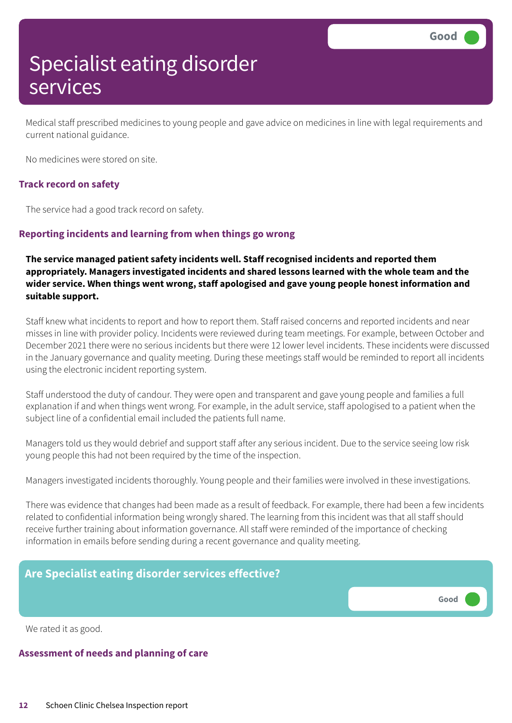Medical staff prescribed medicines to young people and gave advice on medicines in line with legal requirements and current national guidance.

No medicines were stored on site.

#### **Track record on safety**

The service had a good track record on safety.

#### **Reporting incidents and learning from when things go wrong**

**The service managed patient safety incidents well. Staff recognised incidents and reported them appropriately. Managers investigated incidents and shared lessons learned with the whole team and the wider service. When things went wrong, staff apologised and gave young people honest information and suitable support.**

Staff knew what incidents to report and how to report them. Staff raised concerns and reported incidents and near misses in line with provider policy. Incidents were reviewed during team meetings. For example, between October and December 2021 there were no serious incidents but there were 12 lower level incidents. These incidents were discussed in the January governance and quality meeting. During these meetings staff would be reminded to report all incidents using the electronic incident reporting system.

Staff understood the duty of candour. They were open and transparent and gave young people and families a full explanation if and when things went wrong. For example, in the adult service, staff apologised to a patient when the subject line of a confidential email included the patients full name.

Managers told us they would debrief and support staff after any serious incident. Due to the service seeing low risk young people this had not been required by the time of the inspection.

Managers investigated incidents thoroughly. Young people and their families were involved in these investigations.

There was evidence that changes had been made as a result of feedback. For example, there had been a few incidents related to confidential information being wrongly shared. The learning from this incident was that all staff should receive further training about information governance. All staff were reminded of the importance of checking information in emails before sending during a recent governance and quality meeting.

#### **Are Specialist eating disorder services effective?**

**Good –––**

We rated it as good.

#### **Assessment of needs and planning of care**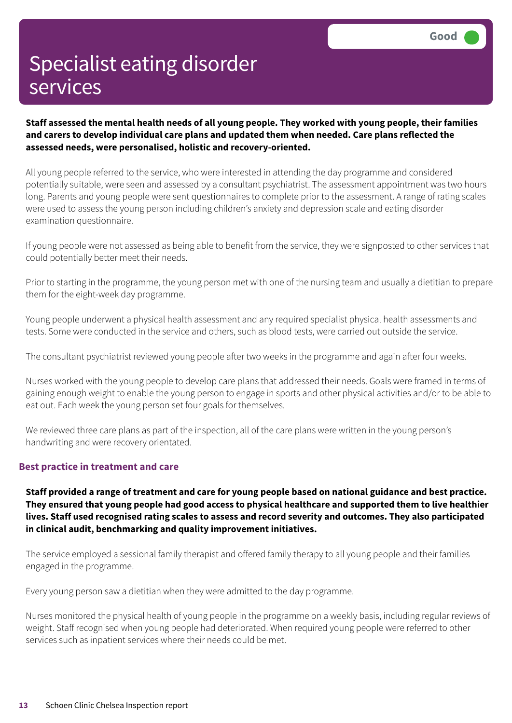**Staff assessed the mental health needs of all young people. They worked with young people, their families and carers to develop individual care plans and updated them when needed. Care plans reflected the assessed needs, were personalised, holistic and recovery-oriented.**

All young people referred to the service, who were interested in attending the day programme and considered potentially suitable, were seen and assessed by a consultant psychiatrist. The assessment appointment was two hours long. Parents and young people were sent questionnaires to complete prior to the assessment. A range of rating scales were used to assess the young person including children's anxiety and depression scale and eating disorder examination questionnaire.

If young people were not assessed as being able to benefit from the service, they were signposted to other services that could potentially better meet their needs.

Prior to starting in the programme, the young person met with one of the nursing team and usually a dietitian to prepare them for the eight-week day programme.

Young people underwent a physical health assessment and any required specialist physical health assessments and tests. Some were conducted in the service and others, such as blood tests, were carried out outside the service.

The consultant psychiatrist reviewed young people after two weeks in the programme and again after four weeks.

Nurses worked with the young people to develop care plans that addressed their needs. Goals were framed in terms of gaining enough weight to enable the young person to engage in sports and other physical activities and/or to be able to eat out. Each week the young person set four goals for themselves.

We reviewed three care plans as part of the inspection, all of the care plans were written in the young person's handwriting and were recovery orientated.

#### **Best practice in treatment and care**

Staff provided a range of treatment and care for young people based on national guidance and best practice. They ensured that young people had good access to physical healthcare and supported them to live healthier **lives. Staff used recognised rating scales to assess and record severity and outcomes. They also participated in clinical audit, benchmarking and quality improvement initiatives.**

The service employed a sessional family therapist and offered family therapy to all young people and their families engaged in the programme.

Every young person saw a dietitian when they were admitted to the day programme.

Nurses monitored the physical health of young people in the programme on a weekly basis, including regular reviews of weight. Staff recognised when young people had deteriorated. When required young people were referred to other services such as inpatient services where their needs could be met.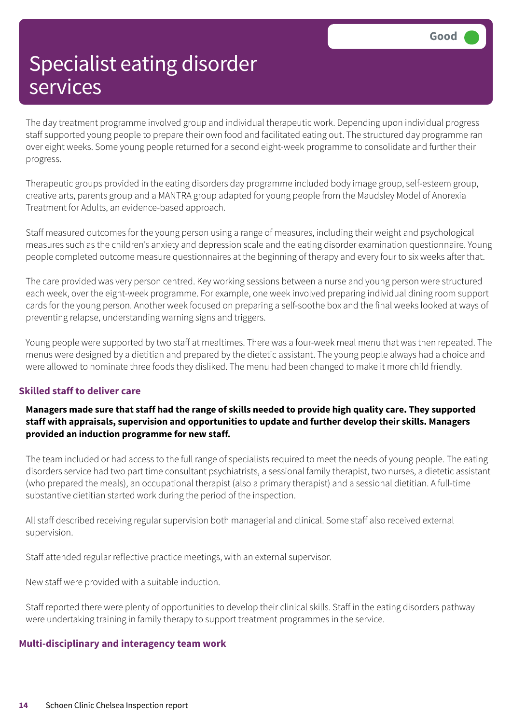The day treatment programme involved group and individual therapeutic work. Depending upon individual progress staff supported young people to prepare their own food and facilitated eating out. The structured day programme ran over eight weeks. Some young people returned for a second eight-week programme to consolidate and further their progress.

Therapeutic groups provided in the eating disorders day programme included body image group, self-esteem group, creative arts, parents group and a MANTRA group adapted for young people from the Maudsley Model of Anorexia Treatment for Adults, an evidence-based approach.

Staff measured outcomes for the young person using a range of measures, including their weight and psychological measures such as the children's anxiety and depression scale and the eating disorder examination questionnaire. Young people completed outcome measure questionnaires at the beginning of therapy and every four to six weeks after that.

The care provided was very person centred. Key working sessions between a nurse and young person were structured each week, over the eight-week programme. For example, one week involved preparing individual dining room support cards for the young person. Another week focused on preparing a self-soothe box and the final weeks looked at ways of preventing relapse, understanding warning signs and triggers.

Young people were supported by two staff at mealtimes. There was a four-week meal menu that was then repeated. The menus were designed by a dietitian and prepared by the dietetic assistant. The young people always had a choice and were allowed to nominate three foods they disliked. The menu had been changed to make it more child friendly.

#### **Skilled staff to deliver care**

#### Managers made sure that staff had the range of skills needed to provide high quality care. They supported **staff with appraisals, supervision and opportunities to update and further develop their skills. Managers provided an induction programme for new staff.**

The team included or had access to the full range of specialists required to meet the needs of young people. The eating disorders service had two part time consultant psychiatrists, a sessional family therapist, two nurses, a dietetic assistant (who prepared the meals), an occupational therapist (also a primary therapist) and a sessional dietitian. A full-time substantive dietitian started work during the period of the inspection.

All staff described receiving regular supervision both managerial and clinical. Some staff also received external supervision.

Staff attended regular reflective practice meetings, with an external supervisor.

New staff were provided with a suitable induction.

Staff reported there were plenty of opportunities to develop their clinical skills. Staff in the eating disorders pathway were undertaking training in family therapy to support treatment programmes in the service.

#### **Multi-disciplinary and interagency team work**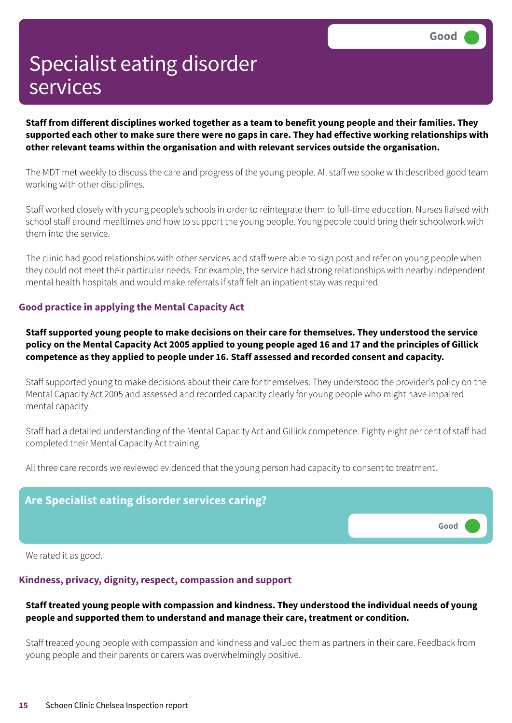Staff from different disciplines worked together as a team to benefit young people and their families. They supported each other to make sure there were no gaps in care. They had effective working relationships with **other relevant teams within the organisation and with relevant services outside the organisation.**

The MDT met weekly to discuss the care and progress of the young people. All staff we spoke with described good team working with other disciplines.

Staff worked closely with young people's schools in order to reintegrate them to full-time education. Nurses liaised with school staff around mealtimes and how to support the young people. Young people could bring their schoolwork with them into the service.

The clinic had good relationships with other services and staff were able to sign post and refer on young people when they could not meet their particular needs. For example, the service had strong relationships with nearby independent mental health hospitals and would make referrals if staff felt an inpatient stay was required.

#### **Good practice in applying the Mental Capacity Act**

**Staff supported young people to make decisions on their care for themselves. They understood the service** policy on the Mental Capacity Act 2005 applied to young people aged 16 and 17 and the principles of Gillick **competence as they applied to people under 16. Staff assessed and recorded consent and capacity.**

Staff supported young to make decisions about their care for themselves. They understood the provider's policy on the Mental Capacity Act 2005 and assessed and recorded capacity clearly for young people who might have impaired mental capacity.

Staff had a detailed understanding of the Mental Capacity Act and Gillick competence. Eighty eight per cent of staff had completed their Mental Capacity Act training.

All three care records we reviewed evidenced that the young person had capacity to consent to treatment.



We rated it as good.

#### **Kindness, privacy, dignity, respect, compassion and support**

#### **Staff treated young people with compassion and kindness. They understood the individual needs of young people and supported them to understand and manage their care, treatment or condition.**

Staff treated young people with compassion and kindness and valued them as partners in their care. Feedback from young people and their parents or carers was overwhelmingly positive.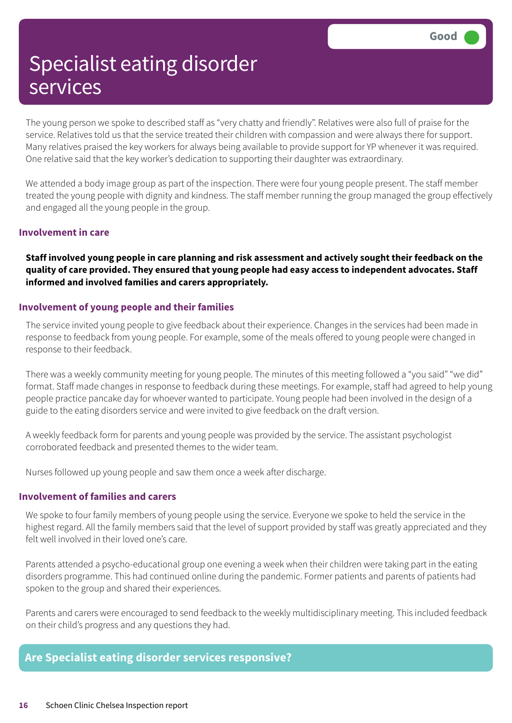The young person we spoke to described staff as "very chatty and friendly". Relatives were also full of praise for the service. Relatives told us that the service treated their children with compassion and were always there for support. Many relatives praised the key workers for always being available to provide support for YP whenever it was required. One relative said that the key worker's dedication to supporting their daughter was extraordinary.

We attended a body image group as part of the inspection. There were four young people present. The staff member treated the young people with dignity and kindness. The staff member running the group managed the group effectively and engaged all the young people in the group.

#### **Involvement in care**

Staff involved young people in care planning and risk assessment and actively sought their feedback on the **quality of care provided. They ensured that young people had easy access to independent advocates. Staff informed and involved families and carers appropriately.**

#### **Involvement of young people and their families**

The service invited young people to give feedback about their experience. Changes in the services had been made in response to feedback from young people. For example, some of the meals offered to young people were changed in response to their feedback.

There was a weekly community meeting for young people. The minutes of this meeting followed a "you said" "we did" format. Staff made changes in response to feedback during these meetings. For example, staff had agreed to help young people practice pancake day for whoever wanted to participate. Young people had been involved in the design of a guide to the eating disorders service and were invited to give feedback on the draft version.

A weekly feedback form for parents and young people was provided by the service. The assistant psychologist corroborated feedback and presented themes to the wider team.

Nurses followed up young people and saw them once a week after discharge.

#### **Involvement of families and carers**

We spoke to four family members of young people using the service. Everyone we spoke to held the service in the highest regard. All the family members said that the level of support provided by staff was greatly appreciated and they felt well involved in their loved one's care.

Parents attended a psycho-educational group one evening a week when their children were taking part in the eating disorders programme. This had continued online during the pandemic. Former patients and parents of patients had spoken to the group and shared their experiences.

Parents and carers were encouraged to send feedback to the weekly multidisciplinary meeting. This included feedback on their child's progress and any questions they had.

### **Are Specialist eating disorder services responsive?**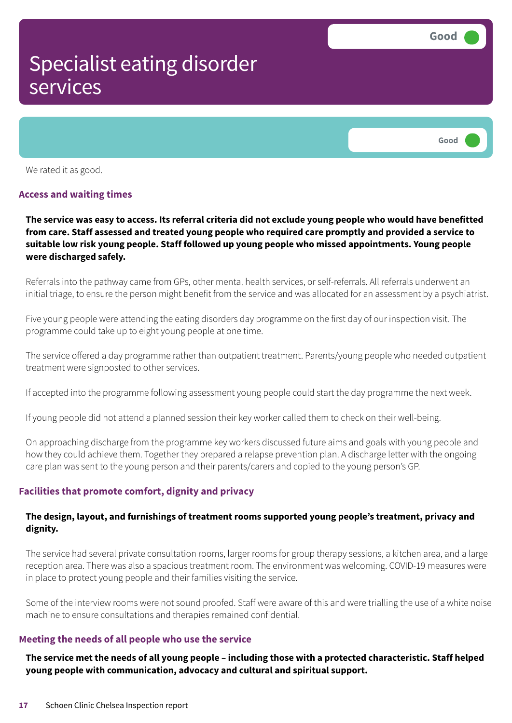

We rated it as good.

#### **Access and waiting times**

The service was easy to access. Its referral criteria did not exclude young people who would have benefitted **from care. Staff assessed and treated young people who required care promptly and provided a service to suitable low risk young people. Staff followed up young people who missed appointments. Young people were discharged safely.**

Referrals into the pathway came from GPs, other mental health services, or self-referrals. All referrals underwent an initial triage, to ensure the person might benefit from the service and was allocated for an assessment by a psychiatrist.

Five young people were attending the eating disorders day programme on the first day of our inspection visit. The programme could take up to eight young people at one time.

The service offered a day programme rather than outpatient treatment. Parents/young people who needed outpatient treatment were signposted to other services.

If accepted into the programme following assessment young people could start the day programme the next week.

If young people did not attend a planned session their key worker called them to check on their well-being.

On approaching discharge from the programme key workers discussed future aims and goals with young people and how they could achieve them. Together they prepared a relapse prevention plan. A discharge letter with the ongoing care plan was sent to the young person and their parents/carers and copied to the young person's GP.

#### **Facilities that promote comfort, dignity and privacy**

#### **The design, layout, and furnishings of treatment rooms supported young people's treatment, privacy and dignity.**

The service had several private consultation rooms, larger rooms for group therapy sessions, a kitchen area, and a large reception area. There was also a spacious treatment room. The environment was welcoming. COVID-19 measures were in place to protect young people and their families visiting the service.

Some of the interview rooms were not sound proofed. Staff were aware of this and were trialling the use of a white noise machine to ensure consultations and therapies remained confidential.

#### **Meeting the needs of all people who use the service**

The service met the needs of all young people – including those with a protected characteristic. Staff helped **young people with communication, advocacy and cultural and spiritual support.**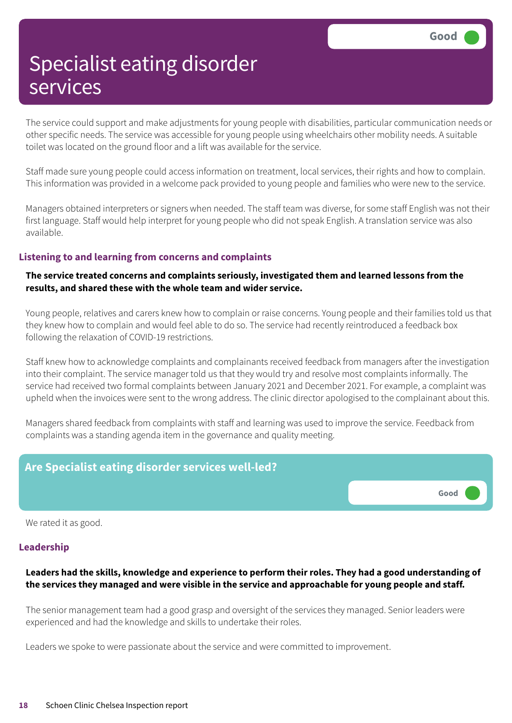The service could support and make adjustments for young people with disabilities, particular communication needs or other specific needs. The service was accessible for young people using wheelchairs other mobility needs. A suitable toilet was located on the ground floor and a lift was available for the service.

Staff made sure young people could access information on treatment, local services, their rights and how to complain. This information was provided in a welcome pack provided to young people and families who were new to the service.

Managers obtained interpreters or signers when needed. The staff team was diverse, for some staff English was not their first language. Staff would help interpret for young people who did not speak English. A translation service was also available.

#### **Listening to and learning from concerns and complaints**

#### **The service treated concerns and complaints seriously, investigated them and learned lessons from the results, and shared these with the whole team and wider service.**

Young people, relatives and carers knew how to complain or raise concerns. Young people and their families told us that they knew how to complain and would feel able to do so. The service had recently reintroduced a feedback box following the relaxation of COVID-19 restrictions.

Staff knew how to acknowledge complaints and complainants received feedback from managers after the investigation into their complaint. The service manager told us that they would try and resolve most complaints informally. The service had received two formal complaints between January 2021 and December 2021. For example, a complaint was upheld when the invoices were sent to the wrong address. The clinic director apologised to the complainant about this.

Managers shared feedback from complaints with staff and learning was used to improve the service. Feedback from complaints was a standing agenda item in the governance and quality meeting.

### **Are Specialist eating disorder services well-led?**



We rated it as good.

#### **Leadership**

#### **Leaders had the skills, knowledge and experience to perform their roles. They had a good understanding of the services they managed and were visible in the service and approachable for young people and staff.**

The senior management team had a good grasp and oversight of the services they managed. Senior leaders were experienced and had the knowledge and skills to undertake their roles.

Leaders we spoke to were passionate about the service and were committed to improvement.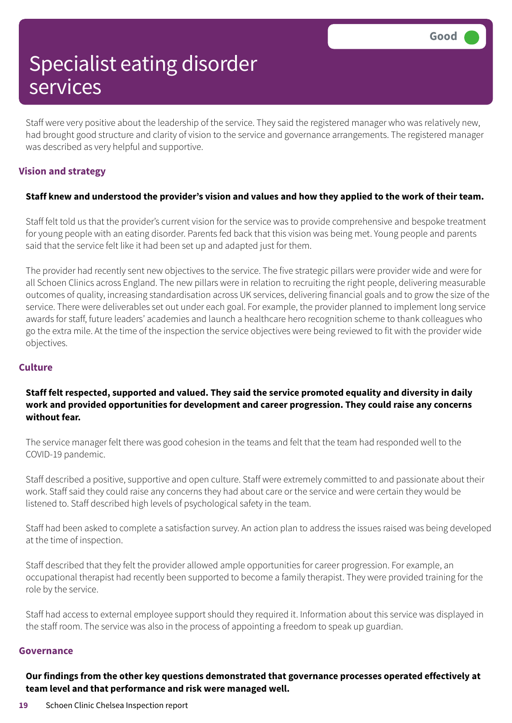Staff were very positive about the leadership of the service. They said the registered manager who was relatively new, had brought good structure and clarity of vision to the service and governance arrangements. The registered manager was described as very helpful and supportive.

#### **Vision and strategy**

#### Staff knew and understood the provider's vision and values and how they applied to the work of their team.

Staff felt told us that the provider's current vision for the service was to provide comprehensive and bespoke treatment for young people with an eating disorder. Parents fed back that this vision was being met. Young people and parents said that the service felt like it had been set up and adapted just for them.

The provider had recently sent new objectives to the service. The five strategic pillars were provider wide and were for all Schoen Clinics across England. The new pillars were in relation to recruiting the right people, delivering measurable outcomes of quality, increasing standardisation across UK services, delivering financial goals and to grow the size of the service. There were deliverables set out under each goal. For example, the provider planned to implement long service awards for staff, future leaders' academies and launch a healthcare hero recognition scheme to thank colleagues who go the extra mile. At the time of the inspection the service objectives were being reviewed to fit with the provider wide objectives.

#### **Culture**

#### **Staff felt respected, supported and valued. They said the service promoted equality and diversity in daily work and provided opportunities for development and career progression. They could raise any concerns without fear.**

The service manager felt there was good cohesion in the teams and felt that the team had responded well to the COVID-19 pandemic.

Staff described a positive, supportive and open culture. Staff were extremely committed to and passionate about their work. Staff said they could raise any concerns they had about care or the service and were certain they would be listened to. Staff described high levels of psychological safety in the team.

Staff had been asked to complete a satisfaction survey. An action plan to address the issues raised was being developed at the time of inspection.

Staff described that they felt the provider allowed ample opportunities for career progression. For example, an occupational therapist had recently been supported to become a family therapist. They were provided training for the role by the service.

Staff had access to external employee support should they required it. Information about this service was displayed in the staff room. The service was also in the process of appointing a freedom to speak up guardian.

#### **Governance**

**Our findings from the other key questions demonstrated that governance processes operated effectively at team level and that performance and risk were managed well.**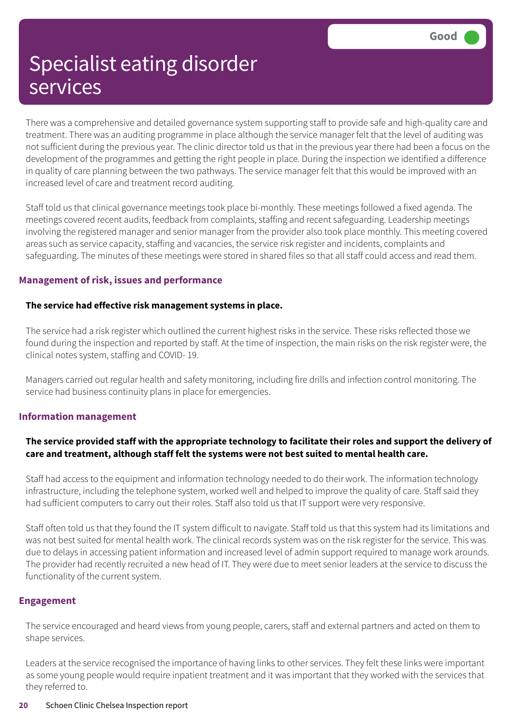There was a comprehensive and detailed governance system supporting staff to provide safe and high-quality care and treatment. There was an auditing programme in place although the service manager felt that the level of auditing was not sufficient during the previous year. The clinic director told us that in the previous year there had been a focus on the development of the programmes and getting the right people in place. During the inspection we identified a difference in quality of care planning between the two pathways. The service manager felt that this would be improved with an increased level of care and treatment record auditing.

Staff told us that clinical governance meetings took place bi-monthly. These meetings followed a fixed agenda. The meetings covered recent audits, feedback from complaints, staffing and recent safeguarding. Leadership meetings involving the registered manager and senior manager from the provider also took place monthly. This meeting covered areas such as service capacity, staffing and vacancies, the service risk register and incidents, complaints and safeguarding. The minutes of these meetings were stored in shared files so that all staff could access and read them.

#### **Management of risk, issues and performance**

#### **The service had effective risk management systems in place.**

The service had a risk register which outlined the current highest risks in the service. These risks reflected those we found during the inspection and reported by staff. At the time of inspection, the main risks on the risk register were, the clinical notes system, staffing and COVID- 19.

Managers carried out regular health and safety monitoring, including fire drills and infection control monitoring. The service had business continuity plans in place for emergencies.

#### **Information management**

#### The service provided staff with the appropriate technology to facilitate their roles and support the delivery of **care and treatment, although staff felt the systems were not best suited to mental health care.**

Staff had access to the equipment and information technology needed to do their work. The information technology infrastructure, including the telephone system, worked well and helped to improve the quality of care. Staff said they had sufficient computers to carry out their roles. Staff also told us that IT support were very responsive.

Staff often told us that they found the IT system difficult to navigate. Staff told us that this system had its limitations and was not best suited for mental health work. The clinical records system was on the risk register for the service. This was due to delays in accessing patient information and increased level of admin support required to manage work arounds. The provider had recently recruited a new head of IT. They were due to meet senior leaders at the service to discuss the functionality of the current system.

#### **Engagement**

The service encouraged and heard views from young people, carers, staff and external partners and acted on them to shape services.

Leaders at the service recognised the importance of having links to other services. They felt these links were important as some young people would require inpatient treatment and it was important that they worked with the services that they referred to.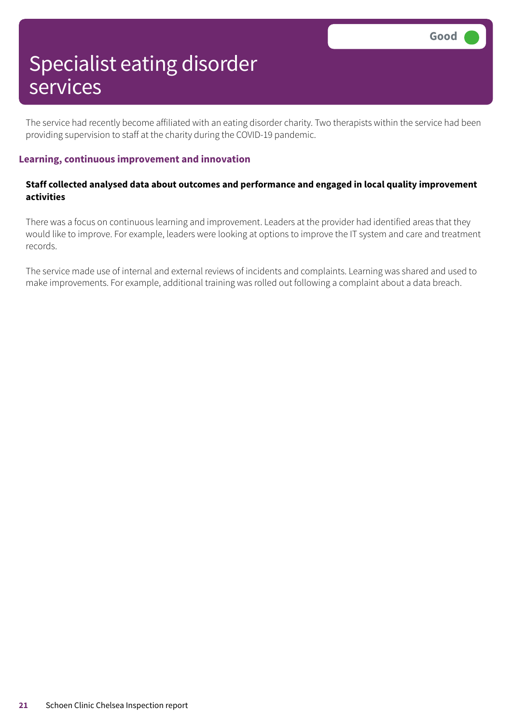The service had recently become affiliated with an eating disorder charity. Two therapists within the service had been providing supervision to staff at the charity during the COVID-19 pandemic.

#### **Learning, continuous improvement and innovation**

#### **Staff collected analysed data about outcomes and performance and engaged in local quality improvement activities**

There was a focus on continuous learning and improvement. Leaders at the provider had identified areas that they would like to improve. For example, leaders were looking at options to improve the IT system and care and treatment records.

The service made use of internal and external reviews of incidents and complaints. Learning was shared and used to make improvements. For example, additional training was rolled out following a complaint about a data breach.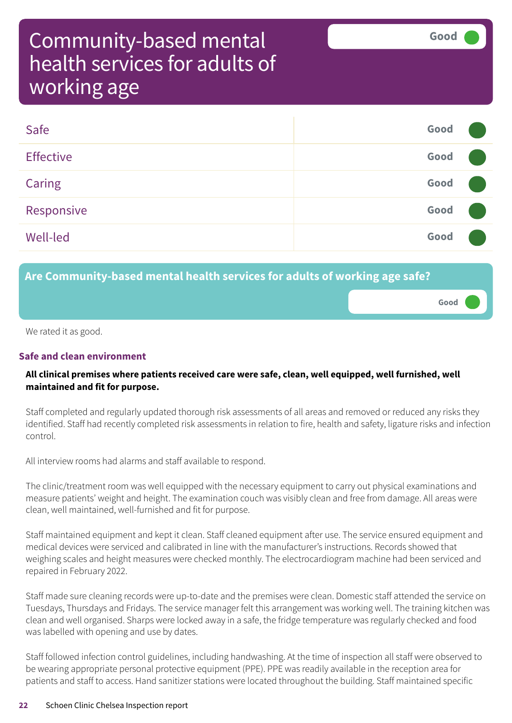**Good –––**

# Community-based mental health services for adults of working age

| Safe             | Good |  |
|------------------|------|--|
| <b>Effective</b> | Good |  |
| Caring           | Good |  |
| Responsive       | Good |  |
| <b>Well-led</b>  | Good |  |

### **Are Community-based mental health services for adults of working age safe?**

We rated it as good.

### **Safe and clean environment**

#### **All clinical premises where patients received care were safe, clean, well equipped, well furnished, well maintained and fit for purpose.**

Staff completed and regularly updated thorough risk assessments of all areas and removed or reduced any risks they identified. Staff had recently completed risk assessments in relation to fire, health and safety, ligature risks and infection control.

All interview rooms had alarms and staff available to respond.

The clinic/treatment room was well equipped with the necessary equipment to carry out physical examinations and measure patients' weight and height. The examination couch was visibly clean and free from damage. All areas were clean, well maintained, well-furnished and fit for purpose.

Staff maintained equipment and kept it clean. Staff cleaned equipment after use. The service ensured equipment and medical devices were serviced and calibrated in line with the manufacturer's instructions. Records showed that weighing scales and height measures were checked monthly. The electrocardiogram machine had been serviced and repaired in February 2022.

Staff made sure cleaning records were up-to-date and the premises were clean. Domestic staff attended the service on Tuesdays, Thursdays and Fridays. The service manager felt this arrangement was working well. The training kitchen was clean and well organised. Sharps were locked away in a safe, the fridge temperature was regularly checked and food was labelled with opening and use by dates.

Staff followed infection control guidelines, including handwashing. At the time of inspection all staff were observed to be wearing appropriate personal protective equipment (PPE). PPE was readily available in the reception area for patients and staff to access. Hand sanitizer stations were located throughout the building. Staff maintained specific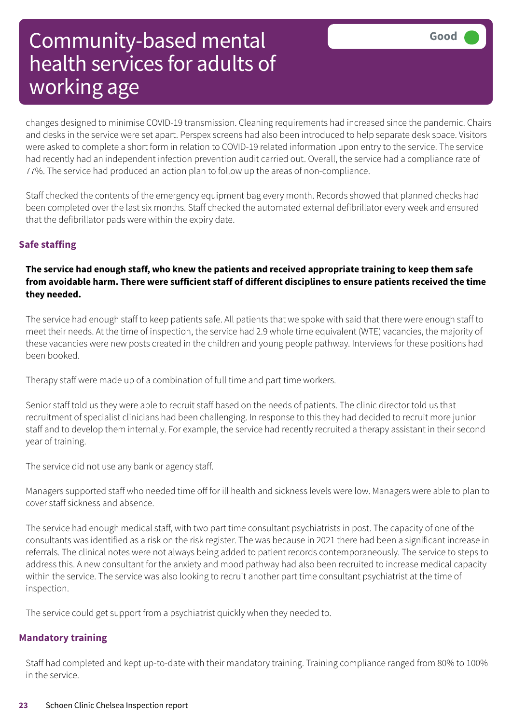changes designed to minimise COVID-19 transmission. Cleaning requirements had increased since the pandemic. Chairs and desks in the service were set apart. Perspex screens had also been introduced to help separate desk space. Visitors were asked to complete a short form in relation to COVID-19 related information upon entry to the service. The service had recently had an independent infection prevention audit carried out. Overall, the service had a compliance rate of 77%. The service had produced an action plan to follow up the areas of non-compliance.

Staff checked the contents of the emergency equipment bag every month. Records showed that planned checks had been completed over the last six months. Staff checked the automated external defibrillator every week and ensured that the defibrillator pads were within the expiry date.

#### **Safe staffing**

#### **The service had enough staff, who knew the patients and received appropriate training to keep them safe from avoidable harm. There were sufficient staff of different disciplines to ensure patients received the time they needed.**

The service had enough staff to keep patients safe. All patients that we spoke with said that there were enough staff to meet their needs. At the time of inspection, the service had 2.9 whole time equivalent (WTE) vacancies, the majority of these vacancies were new posts created in the children and young people pathway. Interviews for these positions had been booked.

Therapy staff were made up of a combination of full time and part time workers.

Senior staff told us they were able to recruit staff based on the needs of patients. The clinic director told us that recruitment of specialist clinicians had been challenging. In response to this they had decided to recruit more junior staff and to develop them internally. For example, the service had recently recruited a therapy assistant in their second year of training.

The service did not use any bank or agency staff.

Managers supported staff who needed time off for ill health and sickness levels were low. Managers were able to plan to cover staff sickness and absence.

The service had enough medical staff, with two part time consultant psychiatrists in post. The capacity of one of the consultants was identified as a risk on the risk register. The was because in 2021 there had been a significant increase in referrals. The clinical notes were not always being added to patient records contemporaneously. The service to steps to address this. A new consultant for the anxiety and mood pathway had also been recruited to increase medical capacity within the service. The service was also looking to recruit another part time consultant psychiatrist at the time of inspection.

The service could get support from a psychiatrist quickly when they needed to.

#### **Mandatory training**

Staff had completed and kept up-to-date with their mandatory training. Training compliance ranged from 80% to 100% in the service.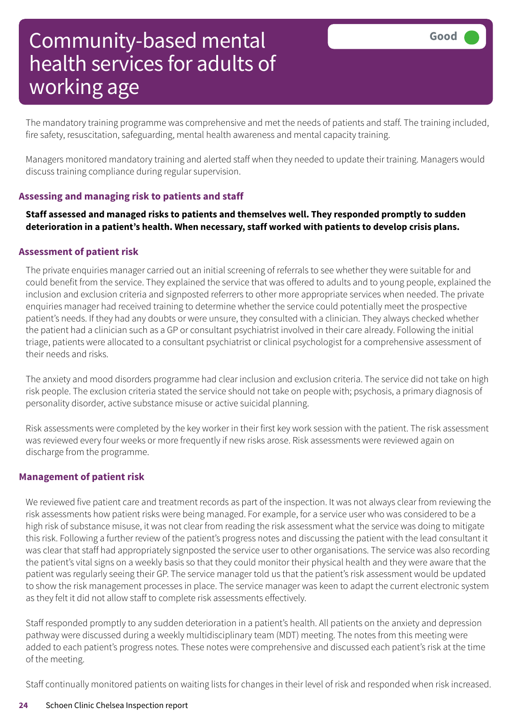The mandatory training programme was comprehensive and met the needs of patients and staff. The training included, fire safety, resuscitation, safeguarding, mental health awareness and mental capacity training.

Managers monitored mandatory training and alerted staff when they needed to update their training. Managers would discuss training compliance during regular supervision.

#### **Assessing and managing risk to patients and staff**

**Staff assessed and managed risks to patients and themselves well. They responded promptly to sudden deterioration in a patient's health. When necessary, staff worked with patients to develop crisis plans.**

#### **Assessment of patient risk**

The private enquiries manager carried out an initial screening of referrals to see whether they were suitable for and could benefit from the service. They explained the service that was offered to adults and to young people, explained the inclusion and exclusion criteria and signposted referrers to other more appropriate services when needed. The private enquiries manager had received training to determine whether the service could potentially meet the prospective patient's needs. If they had any doubts or were unsure, they consulted with a clinician. They always checked whether the patient had a clinician such as a GP or consultant psychiatrist involved in their care already. Following the initial triage, patients were allocated to a consultant psychiatrist or clinical psychologist for a comprehensive assessment of their needs and risks.

The anxiety and mood disorders programme had clear inclusion and exclusion criteria. The service did not take on high risk people. The exclusion criteria stated the service should not take on people with; psychosis, a primary diagnosis of personality disorder, active substance misuse or active suicidal planning.

Risk assessments were completed by the key worker in their first key work session with the patient. The risk assessment was reviewed every four weeks or more frequently if new risks arose. Risk assessments were reviewed again on discharge from the programme.

#### **Management of patient risk**

We reviewed five patient care and treatment records as part of the inspection. It was not always clear from reviewing the risk assessments how patient risks were being managed. For example, for a service user who was considered to be a high risk of substance misuse, it was not clear from reading the risk assessment what the service was doing to mitigate this risk. Following a further review of the patient's progress notes and discussing the patient with the lead consultant it was clear that staff had appropriately signposted the service user to other organisations. The service was also recording the patient's vital signs on a weekly basis so that they could monitor their physical health and they were aware that the patient was regularly seeing their GP. The service manager told us that the patient's risk assessment would be updated to show the risk management processes in place. The service manager was keen to adapt the current electronic system as they felt it did not allow staff to complete risk assessments effectively.

Staff responded promptly to any sudden deterioration in a patient's health. All patients on the anxiety and depression pathway were discussed during a weekly multidisciplinary team (MDT) meeting. The notes from this meeting were added to each patient's progress notes. These notes were comprehensive and discussed each patient's risk at the time of the meeting.

Staff continually monitored patients on waiting lists for changes in their level of risk and responded when risk increased.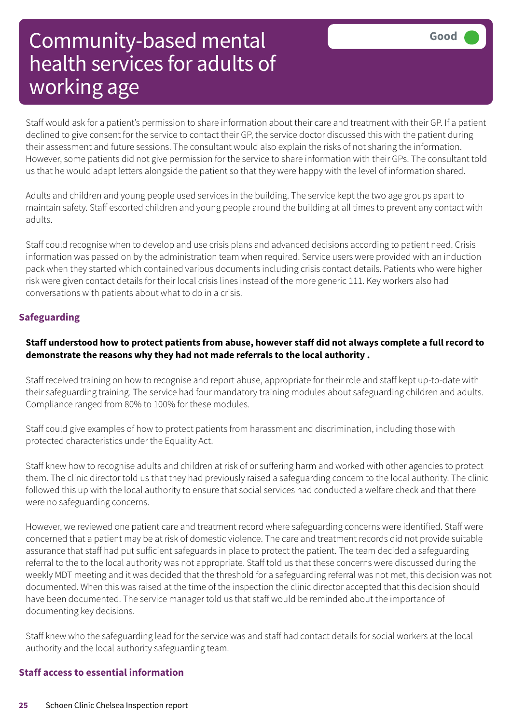Staff would ask for a patient's permission to share information about their care and treatment with their GP. If a patient declined to give consent for the service to contact their GP, the service doctor discussed this with the patient during their assessment and future sessions. The consultant would also explain the risks of not sharing the information. However, some patients did not give permission for the service to share information with their GPs. The consultant told us that he would adapt letters alongside the patient so that they were happy with the level of information shared.

Adults and children and young people used services in the building. The service kept the two age groups apart to maintain safety. Staff escorted children and young people around the building at all times to prevent any contact with adults.

Staff could recognise when to develop and use crisis plans and advanced decisions according to patient need. Crisis information was passed on by the administration team when required. Service users were provided with an induction pack when they started which contained various documents including crisis contact details. Patients who were higher risk were given contact details for their local crisis lines instead of the more generic 111. Key workers also had conversations with patients about what to do in a crisis.

#### **Safeguarding**

#### Staff understood how to protect patients from abuse, however staff did not always complete a full record to **demonstrate the reasons why they had not made referrals to the local authority .**

Staff received training on how to recognise and report abuse, appropriate for their role and staff kept up-to-date with their safeguarding training. The service had four mandatory training modules about safeguarding children and adults. Compliance ranged from 80% to 100% for these modules.

Staff could give examples of how to protect patients from harassment and discrimination, including those with protected characteristics under the Equality Act.

Staff knew how to recognise adults and children at risk of or suffering harm and worked with other agencies to protect them. The clinic director told us that they had previously raised a safeguarding concern to the local authority. The clinic followed this up with the local authority to ensure that social services had conducted a welfare check and that there were no safeguarding concerns.

However, we reviewed one patient care and treatment record where safeguarding concerns were identified. Staff were concerned that a patient may be at risk of domestic violence. The care and treatment records did not provide suitable assurance that staff had put sufficient safeguards in place to protect the patient. The team decided a safeguarding referral to the to the local authority was not appropriate. Staff told us that these concerns were discussed during the weekly MDT meeting and it was decided that the threshold for a safeguarding referral was not met, this decision was not documented. When this was raised at the time of the inspection the clinic director accepted that this decision should have been documented. The service manager told us that staff would be reminded about the importance of documenting key decisions.

Staff knew who the safeguarding lead for the service was and staff had contact details for social workers at the local authority and the local authority safeguarding team.

#### **Staff access to essential information**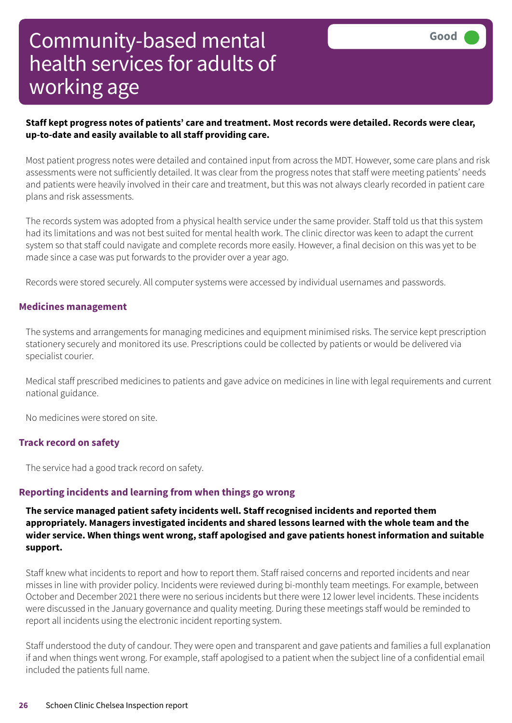#### **Staff kept progress notes of patients' care and treatment. Most records were detailed. Records were clear, up-to-date and easily available to all staff providing care.**

Most patient progress notes were detailed and contained input from across the MDT. However, some care plans and risk assessments were not sufficiently detailed. It was clear from the progress notes that staff were meeting patients' needs and patients were heavily involved in their care and treatment, but this was not always clearly recorded in patient care plans and risk assessments.

The records system was adopted from a physical health service under the same provider. Staff told us that this system had its limitations and was not best suited for mental health work. The clinic director was keen to adapt the current system so that staff could navigate and complete records more easily. However, a final decision on this was yet to be made since a case was put forwards to the provider over a year ago.

Records were stored securely. All computer systems were accessed by individual usernames and passwords.

#### **Medicines management**

The systems and arrangements for managing medicines and equipment minimised risks. The service kept prescription stationery securely and monitored its use. Prescriptions could be collected by patients or would be delivered via specialist courier.

Medical staff prescribed medicines to patients and gave advice on medicines in line with legal requirements and current national guidance.

No medicines were stored on site.

#### **Track record on safety**

The service had a good track record on safety.

#### **Reporting incidents and learning from when things go wrong**

**The service managed patient safety incidents well. Staff recognised incidents and reported them appropriately. Managers investigated incidents and shared lessons learned with the whole team and the wider service. When things went wrong, staff apologised and gave patients honest information and suitable support.**

Staff knew what incidents to report and how to report them. Staff raised concerns and reported incidents and near misses in line with provider policy. Incidents were reviewed during bi-monthly team meetings. For example, between October and December 2021 there were no serious incidents but there were 12 lower level incidents. These incidents were discussed in the January governance and quality meeting. During these meetings staff would be reminded to report all incidents using the electronic incident reporting system.

Staff understood the duty of candour. They were open and transparent and gave patients and families a full explanation if and when things went wrong. For example, staff apologised to a patient when the subject line of a confidential email included the patients full name.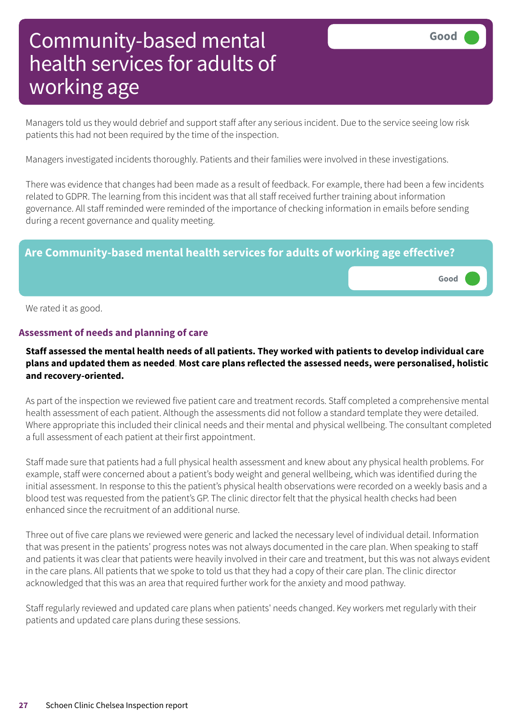Managers told us they would debrief and support staff after any serious incident. Due to the service seeing low risk patients this had not been required by the time of the inspection.

Managers investigated incidents thoroughly. Patients and their families were involved in these investigations.

There was evidence that changes had been made as a result of feedback. For example, there had been a few incidents related to GDPR. The learning from this incident was that all staff received further training about information governance. All staff reminded were reminded of the importance of checking information in emails before sending during a recent governance and quality meeting.

#### **Are Community-based mental health services for adults of working age effective?**

We rated it as good.

#### **Assessment of needs and planning of care**

#### Staff assessed the mental health needs of all patients. They worked with patients to develop individual care **plans and updated them as needed**. **Most care plans reflected the assessed needs, were personalised, holistic and recovery-oriented.**

As part of the inspection we reviewed five patient care and treatment records. Staff completed a comprehensive mental health assessment of each patient. Although the assessments did not follow a standard template they were detailed. Where appropriate this included their clinical needs and their mental and physical wellbeing. The consultant completed a full assessment of each patient at their first appointment.

Staff made sure that patients had a full physical health assessment and knew about any physical health problems. For example, staff were concerned about a patient's body weight and general wellbeing, which was identified during the initial assessment. In response to this the patient's physical health observations were recorded on a weekly basis and a blood test was requested from the patient's GP. The clinic director felt that the physical health checks had been enhanced since the recruitment of an additional nurse.

Three out of five care plans we reviewed were generic and lacked the necessary level of individual detail. Information that was present in the patients' progress notes was not always documented in the care plan. When speaking to staff and patients it was clear that patients were heavily involved in their care and treatment, but this was not always evident in the care plans. All patients that we spoke to told us that they had a copy of their care plan. The clinic director acknowledged that this was an area that required further work for the anxiety and mood pathway.

Staff regularly reviewed and updated care plans when patients' needs changed. Key workers met regularly with their patients and updated care plans during these sessions.

**Good –––**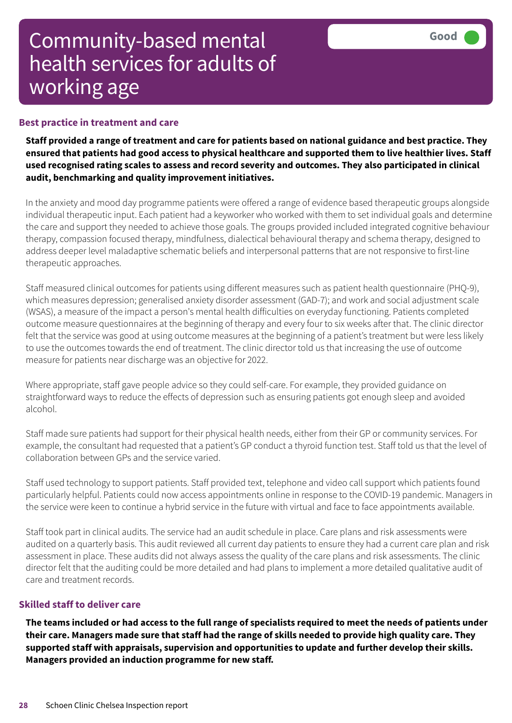#### **Best practice in treatment and care**

Staff provided a range of treatment and care for patients based on national guidance and best practice. They ensured that patients had good access to physical healthcare and supported them to live healthier lives. Staff **used recognised rating scales to assess and record severity and outcomes. They also participated in clinical audit, benchmarking and quality improvement initiatives.**

In the anxiety and mood day programme patients were offered a range of evidence based therapeutic groups alongside individual therapeutic input. Each patient had a keyworker who worked with them to set individual goals and determine the care and support they needed to achieve those goals. The groups provided included integrated cognitive behaviour therapy, compassion focused therapy, mindfulness, dialectical behavioural therapy and schema therapy, designed to address deeper level maladaptive schematic beliefs and interpersonal patterns that are not responsive to first-line therapeutic approaches.

Staff measured clinical outcomes for patients using different measures such as patient health questionnaire (PHQ-9), which measures depression; generalised anxiety disorder assessment (GAD-7); and work and social adjustment scale (WSAS), a measure of the impact a person's mental health difficulties on everyday functioning. Patients completed outcome measure questionnaires at the beginning of therapy and every four to six weeks after that. The clinic director felt that the service was good at using outcome measures at the beginning of a patient's treatment but were less likely to use the outcomes towards the end of treatment. The clinic director told us that increasing the use of outcome measure for patients near discharge was an objective for 2022.

Where appropriate, staff gave people advice so they could self-care. For example, they provided guidance on straightforward ways to reduce the effects of depression such as ensuring patients got enough sleep and avoided alcohol.

Staff made sure patients had support for their physical health needs, either from their GP or community services. For example, the consultant had requested that a patient's GP conduct a thyroid function test. Staff told us that the level of collaboration between GPs and the service varied.

Staff used technology to support patients. Staff provided text, telephone and video call support which patients found particularly helpful. Patients could now access appointments online in response to the COVID-19 pandemic. Managers in the service were keen to continue a hybrid service in the future with virtual and face to face appointments available.

Staff took part in clinical audits. The service had an audit schedule in place. Care plans and risk assessments were audited on a quarterly basis. This audit reviewed all current day patients to ensure they had a current care plan and risk assessment in place. These audits did not always assess the quality of the care plans and risk assessments. The clinic director felt that the auditing could be more detailed and had plans to implement a more detailed qualitative audit of care and treatment records.

#### **Skilled staff to deliver care**

The teams included or had access to the full range of specialists required to meet the needs of patients under their care. Managers made sure that staff had the range of skills needed to provide high quality care. They **supported staff with appraisals, supervision and opportunities to update and further develop their skills. Managers provided an induction programme for new staff.**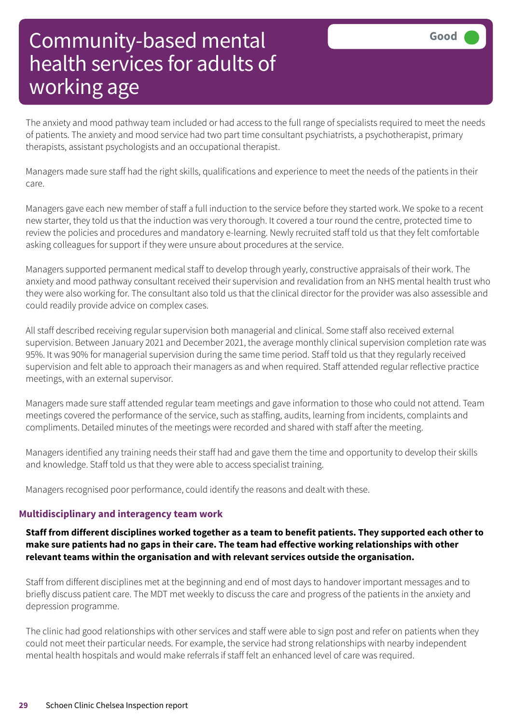The anxiety and mood pathway team included or had access to the full range of specialists required to meet the needs of patients. The anxiety and mood service had two part time consultant psychiatrists, a psychotherapist, primary therapists, assistant psychologists and an occupational therapist.

Managers made sure staff had the right skills, qualifications and experience to meet the needs of the patients in their care.

Managers gave each new member of staff a full induction to the service before they started work. We spoke to a recent new starter, they told us that the induction was very thorough. It covered a tour round the centre, protected time to review the policies and procedures and mandatory e-learning. Newly recruited staff told us that they felt comfortable asking colleagues for support if they were unsure about procedures at the service.

Managers supported permanent medical staff to develop through yearly, constructive appraisals of their work. The anxiety and mood pathway consultant received their supervision and revalidation from an NHS mental health trust who they were also working for. The consultant also told us that the clinical director for the provider was also assessible and could readily provide advice on complex cases.

All staff described receiving regular supervision both managerial and clinical. Some staff also received external supervision. Between January 2021 and December 2021, the average monthly clinical supervision completion rate was 95%. It was 90% for managerial supervision during the same time period. Staff told us that they regularly received supervision and felt able to approach their managers as and when required. Staff attended regular reflective practice meetings, with an external supervisor.

Managers made sure staff attended regular team meetings and gave information to those who could not attend. Team meetings covered the performance of the service, such as staffing, audits, learning from incidents, complaints and compliments. Detailed minutes of the meetings were recorded and shared with staff after the meeting.

Managers identified any training needs their staff had and gave them the time and opportunity to develop their skills and knowledge. Staff told us that they were able to access specialist training.

Managers recognised poor performance, could identify the reasons and dealt with these.

#### **Multidisciplinary and interagency team work**

#### Staff from different disciplines worked together as a team to benefit patients. They supported each other to **make sure patients had no gaps in their care. The team had effective working relationships with other relevant teams within the organisation and with relevant services outside the organisation.**

Staff from different disciplines met at the beginning and end of most days to handover important messages and to briefly discuss patient care. The MDT met weekly to discuss the care and progress of the patients in the anxiety and depression programme.

The clinic had good relationships with other services and staff were able to sign post and refer on patients when they could not meet their particular needs. For example, the service had strong relationships with nearby independent mental health hospitals and would make referrals if staff felt an enhanced level of care was required.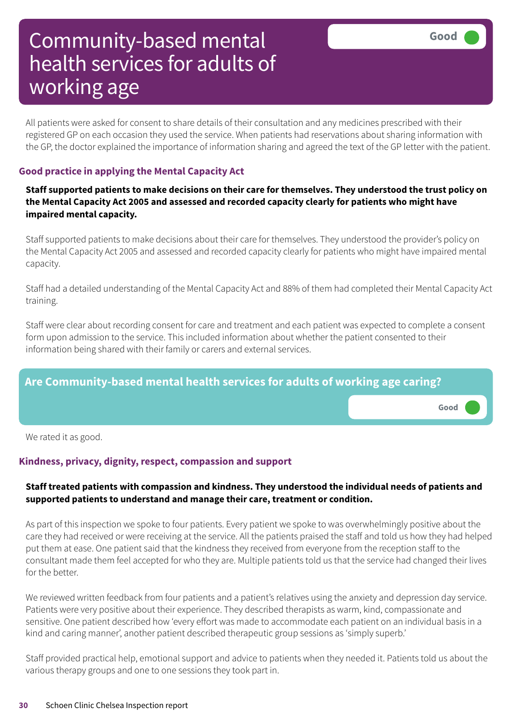All patients were asked for consent to share details of their consultation and any medicines prescribed with their registered GP on each occasion they used the service. When patients had reservations about sharing information with the GP, the doctor explained the importance of information sharing and agreed the text of the GP letter with the patient.

#### **Good practice in applying the Mental Capacity Act**

Staff supported patients to make decisions on their care for themselves. They understood the trust policy on **the Mental Capacity Act 2005 and assessed and recorded capacity clearly for patients who might have impaired mental capacity.**

Staff supported patients to make decisions about their care for themselves. They understood the provider's policy on the Mental Capacity Act 2005 and assessed and recorded capacity clearly for patients who might have impaired mental capacity.

Staff had a detailed understanding of the Mental Capacity Act and 88% of them had completed their Mental Capacity Act training.

Staff were clear about recording consent for care and treatment and each patient was expected to complete a consent form upon admission to the service. This included information about whether the patient consented to their information being shared with their family or carers and external services.

### **Are Community-based mental health services for adults of working age caring?**

**Good –––**

We rated it as good.

#### **Kindness, privacy, dignity, respect, compassion and support**

#### **Staff treated patients with compassion and kindness. They understood the individual needs of patients and supported patients to understand and manage their care, treatment or condition.**

As part of this inspection we spoke to four patients. Every patient we spoke to was overwhelmingly positive about the care they had received or were receiving at the service. All the patients praised the staff and told us how they had helped put them at ease. One patient said that the kindness they received from everyone from the reception staff to the consultant made them feel accepted for who they are. Multiple patients told us that the service had changed their lives for the hetter

We reviewed written feedback from four patients and a patient's relatives using the anxiety and depression day service. Patients were very positive about their experience. They described therapists as warm, kind, compassionate and sensitive. One patient described how 'every effort was made to accommodate each patient on an individual basis in a kind and caring manner', another patient described therapeutic group sessions as 'simply superb.'

Staff provided practical help, emotional support and advice to patients when they needed it. Patients told us about the various therapy groups and one to one sessions they took part in.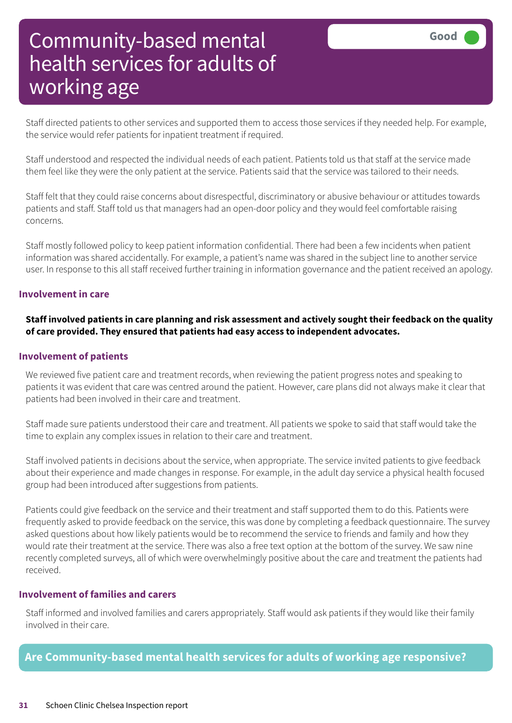Staff directed patients to other services and supported them to access those services if they needed help. For example, the service would refer patients for inpatient treatment if required.

Staff understood and respected the individual needs of each patient. Patients told us that staff at the service made them feel like they were the only patient at the service. Patients said that the service was tailored to their needs.

Staff felt that they could raise concerns about disrespectful, discriminatory or abusive behaviour or attitudes towards patients and staff. Staff told us that managers had an open-door policy and they would feel comfortable raising concerns.

Staff mostly followed policy to keep patient information confidential. There had been a few incidents when patient information was shared accidentally. For example, a patient's name was shared in the subject line to another service user. In response to this all staff received further training in information governance and the patient received an apology.

#### **Involvement in care**

#### Staff involved patients in care planning and risk assessment and actively sought their feedback on the quality **of care provided. They ensured that patients had easy access to independent advocates.**

#### **Involvement of patients**

We reviewed five patient care and treatment records, when reviewing the patient progress notes and speaking to patients it was evident that care was centred around the patient. However, care plans did not always make it clear that patients had been involved in their care and treatment.

Staff made sure patients understood their care and treatment. All patients we spoke to said that staff would take the time to explain any complex issues in relation to their care and treatment.

Staff involved patients in decisions about the service, when appropriate. The service invited patients to give feedback about their experience and made changes in response. For example, in the adult day service a physical health focused group had been introduced after suggestions from patients.

Patients could give feedback on the service and their treatment and staff supported them to do this. Patients were frequently asked to provide feedback on the service, this was done by completing a feedback questionnaire. The survey asked questions about how likely patients would be to recommend the service to friends and family and how they would rate their treatment at the service. There was also a free text option at the bottom of the survey. We saw nine recently completed surveys, all of which were overwhelmingly positive about the care and treatment the patients had received.

#### **Involvement of families and carers**

Staff informed and involved families and carers appropriately. Staff would ask patients if they would like their family involved in their care.

**Are Community-based mental health services for adults of working age responsive?**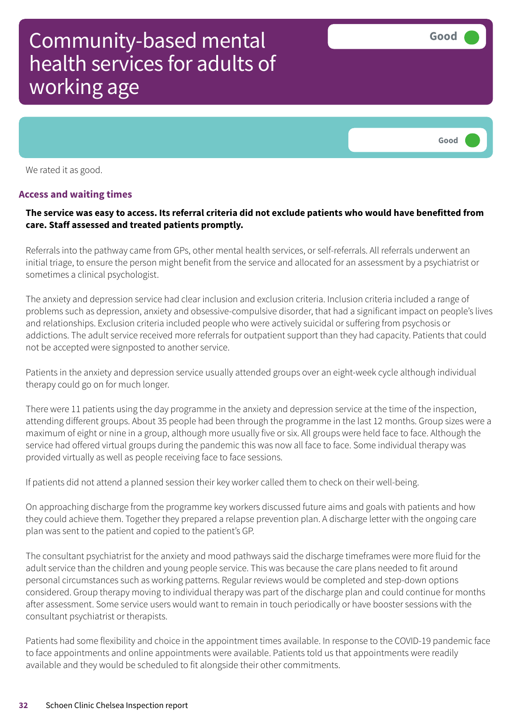

We rated it as good.

#### **Access and waiting times**

#### The service was easy to access. Its referral criteria did not exclude patients who would have benefitted from **care. Staff assessed and treated patients promptly.**

Referrals into the pathway came from GPs, other mental health services, or self-referrals. All referrals underwent an initial triage, to ensure the person might benefit from the service and allocated for an assessment by a psychiatrist or sometimes a clinical psychologist.

The anxiety and depression service had clear inclusion and exclusion criteria. Inclusion criteria included a range of problems such as depression, anxiety and obsessive-compulsive disorder, that had a significant impact on people's lives and relationships. Exclusion criteria included people who were actively suicidal or suffering from psychosis or addictions. The adult service received more referrals for outpatient support than they had capacity. Patients that could not be accepted were signposted to another service.

Patients in the anxiety and depression service usually attended groups over an eight-week cycle although individual therapy could go on for much longer.

There were 11 patients using the day programme in the anxiety and depression service at the time of the inspection, attending different groups. About 35 people had been through the programme in the last 12 months. Group sizes were a maximum of eight or nine in a group, although more usually five or six. All groups were held face to face. Although the service had offered virtual groups during the pandemic this was now all face to face. Some individual therapy was provided virtually as well as people receiving face to face sessions.

If patients did not attend a planned session their key worker called them to check on their well-being.

On approaching discharge from the programme key workers discussed future aims and goals with patients and how they could achieve them. Together they prepared a relapse prevention plan. A discharge letter with the ongoing care plan was sent to the patient and copied to the patient's GP.

The consultant psychiatrist for the anxiety and mood pathways said the discharge timeframes were more fluid for the adult service than the children and young people service. This was because the care plans needed to fit around personal circumstances such as working patterns. Regular reviews would be completed and step-down options considered. Group therapy moving to individual therapy was part of the discharge plan and could continue for months after assessment. Some service users would want to remain in touch periodically or have booster sessions with the consultant psychiatrist or therapists.

Patients had some flexibility and choice in the appointment times available. In response to the COVID-19 pandemic face to face appointments and online appointments were available. Patients told us that appointments were readily available and they would be scheduled to fit alongside their other commitments.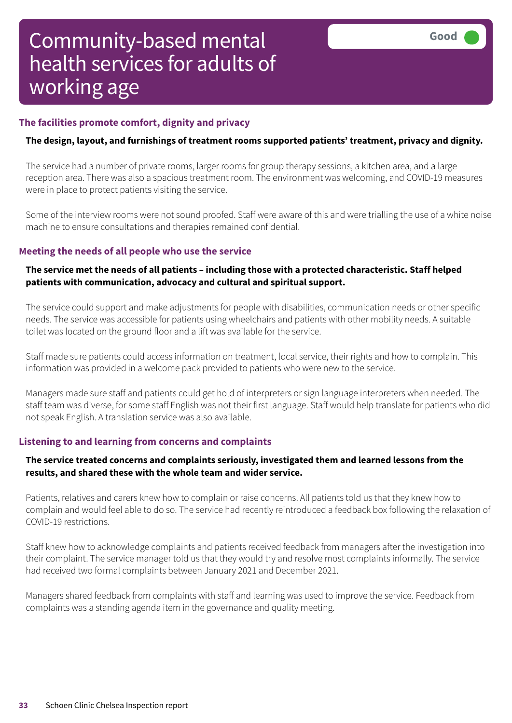#### **The facilities promote comfort, dignity and privacy**

#### **The design, layout, and furnishings of treatment rooms supported patients' treatment, privacy and dignity.**

The service had a number of private rooms, larger rooms for group therapy sessions, a kitchen area, and a large reception area. There was also a spacious treatment room. The environment was welcoming, and COVID-19 measures were in place to protect patients visiting the service.

Some of the interview rooms were not sound proofed. Staff were aware of this and were trialling the use of a white noise machine to ensure consultations and therapies remained confidential.

#### **Meeting the needs of all people who use the service**

#### **The service met the needs of all patients – including those with a protected characteristic. Staff helped patients with communication, advocacy and cultural and spiritual support.**

The service could support and make adjustments for people with disabilities, communication needs or other specific needs. The service was accessible for patients using wheelchairs and patients with other mobility needs. A suitable toilet was located on the ground floor and a lift was available for the service.

Staff made sure patients could access information on treatment, local service, their rights and how to complain. This information was provided in a welcome pack provided to patients who were new to the service.

Managers made sure staff and patients could get hold of interpreters or sign language interpreters when needed. The staff team was diverse, for some staff English was not their first language. Staff would help translate for patients who did not speak English. A translation service was also available.

#### **Listening to and learning from concerns and complaints**

#### **The service treated concerns and complaints seriously, investigated them and learned lessons from the results, and shared these with the whole team and wider service.**

Patients, relatives and carers knew how to complain or raise concerns. All patients told us that they knew how to complain and would feel able to do so. The service had recently reintroduced a feedback box following the relaxation of COVID-19 restrictions.

Staff knew how to acknowledge complaints and patients received feedback from managers after the investigation into their complaint. The service manager told us that they would try and resolve most complaints informally. The service had received two formal complaints between January 2021 and December 2021.

Managers shared feedback from complaints with staff and learning was used to improve the service. Feedback from complaints was a standing agenda item in the governance and quality meeting.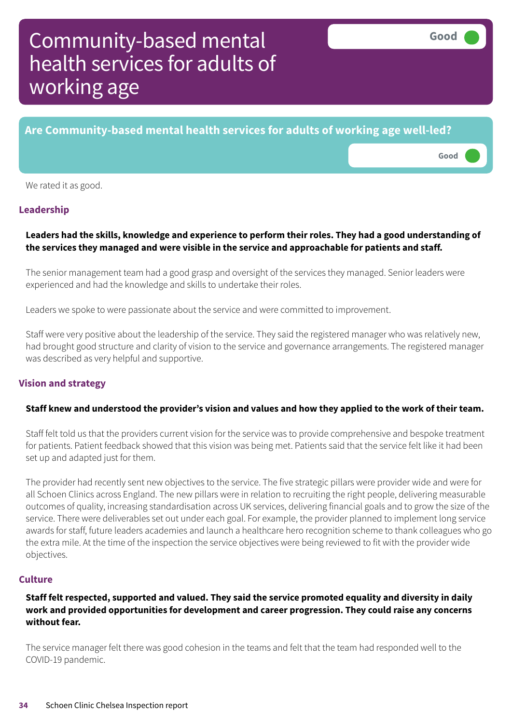# **Are Community-based mental health services for adults of working age well-led? Good –––**

We rated it as good.

#### **Leadership**

#### **Leaders had the skills, knowledge and experience to perform their roles. They had a good understanding of the services they managed and were visible in the service and approachable for patients and staff.**

The senior management team had a good grasp and oversight of the services they managed. Senior leaders were experienced and had the knowledge and skills to undertake their roles.

Leaders we spoke to were passionate about the service and were committed to improvement.

Staff were very positive about the leadership of the service. They said the registered manager who was relatively new, had brought good structure and clarity of vision to the service and governance arrangements. The registered manager was described as very helpful and supportive.

#### **Vision and strategy**

#### Staff knew and understood the provider's vision and values and how they applied to the work of their team.

Staff felt told us that the providers current vision for the service was to provide comprehensive and bespoke treatment for patients. Patient feedback showed that this vision was being met. Patients said that the service felt like it had been set up and adapted just for them.

The provider had recently sent new objectives to the service. The five strategic pillars were provider wide and were for all Schoen Clinics across England. The new pillars were in relation to recruiting the right people, delivering measurable outcomes of quality, increasing standardisation across UK services, delivering financial goals and to grow the size of the service. There were deliverables set out under each goal. For example, the provider planned to implement long service awards for staff, future leaders academies and launch a healthcare hero recognition scheme to thank colleagues who go the extra mile. At the time of the inspection the service objectives were being reviewed to fit with the provider wide objectives.

#### **Culture**

#### **Staff felt respected, supported and valued. They said the service promoted equality and diversity in daily work and provided opportunities for development and career progression. They could raise any concerns without fear.**

The service manager felt there was good cohesion in the teams and felt that the team had responded well to the COVID-19 pandemic.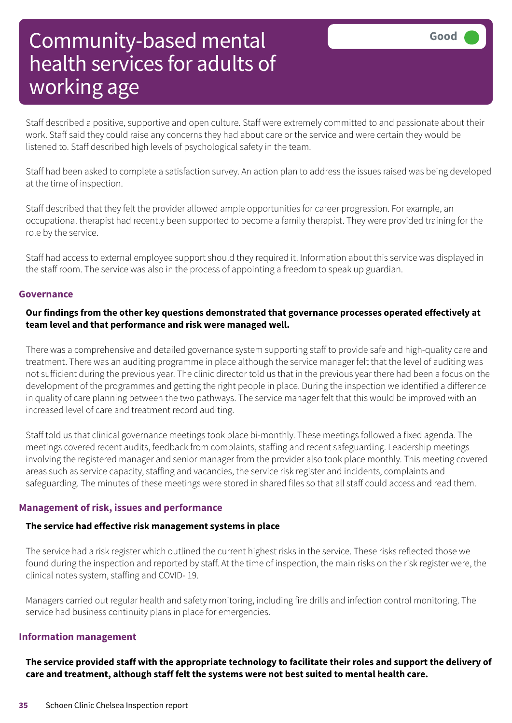Staff described a positive, supportive and open culture. Staff were extremely committed to and passionate about their work. Staff said they could raise any concerns they had about care or the service and were certain they would be listened to. Staff described high levels of psychological safety in the team.

Staff had been asked to complete a satisfaction survey. An action plan to address the issues raised was being developed at the time of inspection.

Staff described that they felt the provider allowed ample opportunities for career progression. For example, an occupational therapist had recently been supported to become a family therapist. They were provided training for the role by the service.

Staff had access to external employee support should they required it. Information about this service was displayed in the staff room. The service was also in the process of appointing a freedom to speak up guardian.

#### **Governance**

#### **Our findings from the other key questions demonstrated that governance processes operated effectively at team level and that performance and risk were managed well.**

There was a comprehensive and detailed governance system supporting staff to provide safe and high-quality care and treatment. There was an auditing programme in place although the service manager felt that the level of auditing was not sufficient during the previous year. The clinic director told us that in the previous year there had been a focus on the development of the programmes and getting the right people in place. During the inspection we identified a difference in quality of care planning between the two pathways. The service manager felt that this would be improved with an increased level of care and treatment record auditing.

Staff told us that clinical governance meetings took place bi-monthly. These meetings followed a fixed agenda. The meetings covered recent audits, feedback from complaints, staffing and recent safeguarding. Leadership meetings involving the registered manager and senior manager from the provider also took place monthly. This meeting covered areas such as service capacity, staffing and vacancies, the service risk register and incidents, complaints and safeguarding. The minutes of these meetings were stored in shared files so that all staff could access and read them.

#### **Management of risk, issues and performance**

#### **The service had effective risk management systems in place**

The service had a risk register which outlined the current highest risks in the service. These risks reflected those we found during the inspection and reported by staff. At the time of inspection, the main risks on the risk register were, the clinical notes system, staffing and COVID- 19.

Managers carried out regular health and safety monitoring, including fire drills and infection control monitoring. The service had business continuity plans in place for emergencies.

#### **Information management**

The service provided staff with the appropriate technology to facilitate their roles and support the delivery of **care and treatment, although staff felt the systems were not best suited to mental health care.**